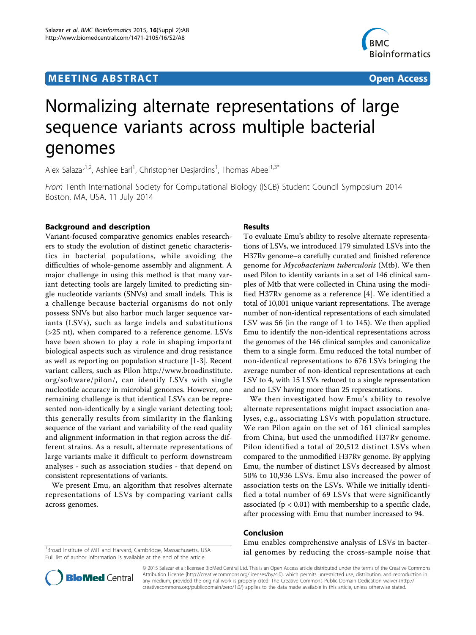## **MEETING ABSTRACT And CONSTRACT CONSTRACT** And CONSTRACT CONSTRACT CONSTRACT CONSTRACT CONSTRACT CONSTRACT CONSTR



# Normalizing alternate representations of large sequence variants across multiple bacterial genomes

Alex Salazar<sup>1,2</sup>, Ashlee Earl<sup>1</sup>, Christopher Desjardins<sup>1</sup>, Thomas Abeel<sup>1,3\*</sup>

From Tenth International Society for Computational Biology (ISCB) Student Council Symposium 2014 Boston, MA, USA. 11 July 2014

## Background and description

Variant-focused comparative genomics enables researchers to study the evolution of distinct genetic characteristics in bacterial populations, while avoiding the difficulties of whole-genome assembly and alignment. A major challenge in using this method is that many variant detecting tools are largely limited to predicting single nucleotide variants (SNVs) and small indels. This is a challenge because bacterial organisms do not only possess SNVs but also harbor much larger sequence variants (LSVs), such as large indels and substitutions (>25 nt), when compared to a reference genome. LSVs have been shown to play a role in shaping important biological aspects such as virulence and drug resistance as well as reporting on population structure [\[1](#page--1-0)-[3\]](#page--1-0). Recent variant callers, such as Pilon [http://www.broadinstitute.](http://www.broadinstitute.org/software/pilon/) [org/software/pilon/,](http://www.broadinstitute.org/software/pilon/) can identify LSVs with single nucleotide accuracy in microbial genomes. However, one remaining challenge is that identical LSVs can be represented non-identically by a single variant detecting tool; this generally results from similarity in the flanking sequence of the variant and variability of the read quality and alignment information in that region across the different strains. As a result, alternate representations of large variants make it difficult to perform downstream analyses - such as association studies - that depend on consistent representations of variants.

We present Emu, an algorithm that resolves alternate representations of LSVs by comparing variant calls across genomes.

## Results

To evaluate Emu's ability to resolve alternate representations of LSVs, we introduced 179 simulated LSVs into the H37Rv genome–a carefully curated and finished reference genome for Mycobacterium tuberculosis (Mtb). We then used Pilon to identify variants in a set of 146 clinical samples of Mtb that were collected in China using the modified H37Rv genome as a reference [\[4\]](#page--1-0). We identified a total of 10,001 unique variant representations. The average number of non-identical representations of each simulated LSV was 56 (in the range of 1 to 145). We then applied Emu to identify the non-identical representations across the genomes of the 146 clinical samples and canonicalize them to a single form. Emu reduced the total number of non-identical representations to 676 LSVs bringing the average number of non-identical representations at each LSV to 4, with 15 LSVs reduced to a single representation and no LSV having more than 25 representations.

We then investigated how Emu's ability to resolve alternate representations might impact association analyses, e.g., associating LSVs with population structure. We ran Pilon again on the set of 161 clinical samples from China, but used the unmodified H37Rv genome. Pilon identified a total of 20,512 distinct LSVs when compared to the unmodified H37Rv genome. By applying Emu, the number of distinct LSVs decreased by almost 50% to 10,936 LSVs. Emu also increased the power of association tests on the LSVs. While we initially identified a total number of 69 LSVs that were significantly associated ( $p < 0.01$ ) with membership to a specific clade, after processing with Emu that number increased to 94.

## Conclusion

Emu enables comprehensive analysis of LSVs in bacterial genomes by reducing the cross-sample noise that

<sup>1</sup>Broad Institute of MIT and Harvard, Cambridge, Massachusetts, USA Full list of author information is available at the end of the article



© 2015 Salazar et al; licensee BioMed Central Ltd. This is an Open Access article distributed under the terms of the Creative Commons Attribution License [\(http://creativecommons.org/licenses/by/4.0](http://creativecommons.org/licenses/by/4.0)), which permits unrestricted use, distribution, and reproduction in any medium, provided the original work is properly cited. The Creative Commons Public Domain Dedication waiver [\(http://](http://creativecommons.org/publicdomain/zero/1.0/) [creativecommons.org/publicdomain/zero/1.0/](http://creativecommons.org/publicdomain/zero/1.0/)) applies to the data made available in this article, unless otherwise stated.